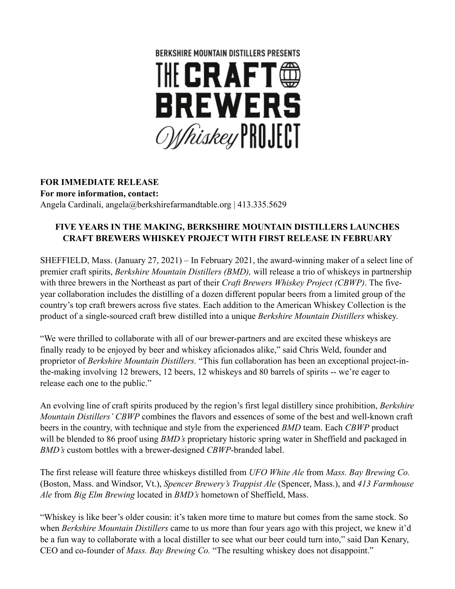

# **FOR IMMEDIATE RELEASE**

**For more information, contact:**  Angela Cardinali, angela@berkshirefarmandtable.org | 413.335.5629

## **FIVE YEARS IN THE MAKING, BERKSHIRE MOUNTAIN DISTILLERS LAUNCHES CRAFT BREWERS WHISKEY PROJECT WITH FIRST RELEASE IN FEBRUARY**

SHEFFIELD, Mass. (January 27, 2021) – In February 2021, the award-winning maker of a select line of premier craft spirits, *Berkshire Mountain Distillers (BMD),* will release a trio of whiskeys in partnership with three brewers in the Northeast as part of their *Craft Brewers Whiskey Project (CBWP)*. The fiveyear collaboration includes the distilling of a dozen different popular beers from a limited group of the country's top craft brewers across five states. Each addition to the American Whiskey Collection is the product of a single-sourced craft brew distilled into a unique *Berkshire Mountain Distillers* whiskey.

"We were thrilled to collaborate with all of our brewer-partners and are excited these whiskeys are finally ready to be enjoyed by beer and whiskey aficionados alike," said Chris Weld, founder and proprietor of *Berkshire Mountain Distillers.* "This fun collaboration has been an exceptional project-inthe-making involving 12 brewers, 12 beers, 12 whiskeys and 80 barrels of spirits -- we're eager to release each one to the public."

An evolving line of craft spirits produced by the region's first legal distillery since prohibition, *Berkshire Mountain Distillers' CBWP* combines the flavors and essences of some of the best and well-known craft beers in the country, with technique and style from the experienced *BMD* team. Each *CBWP* product will be blended to 86 proof using *BMD's* proprietary historic spring water in Sheffield and packaged in *BMD's* custom bottles with a brewer-designed *CBWP*-branded label.

The first release will feature three whiskeys distilled from *UFO White Ale* from *Mass. Bay Brewing Co.* (Boston, Mass. and Windsor, Vt.), *Spencer Brewery's Trappist Ale* (Spencer, Mass.), and *413 Farmhouse Ale* from *Big Elm Brewing* located in *BMD's* hometown of Sheffield, Mass.

"Whiskey is like beer's older cousin: it's taken more time to mature but comes from the same stock. So when *Berkshire Mountain Distillers* came to us more than four years ago with this project, we knew it'd be a fun way to collaborate with a local distiller to see what our beer could turn into," said Dan Kenary, CEO and co-founder of *Mass. Bay Brewing Co.* "The resulting whiskey does not disappoint."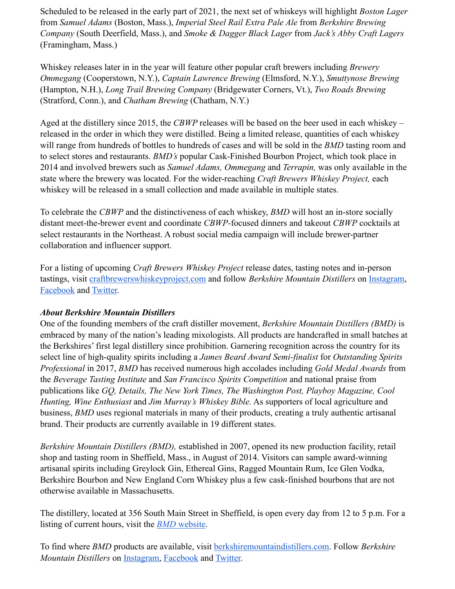Scheduled to be released in the early part of 2021, the next set of whiskeys will highlight *Boston Lager* from *Samuel Adams* (Boston, Mass.), *Imperial Steel Rail Extra Pale Ale* from *Berkshire Brewing Company* (South Deerfield, Mass.), and *Smoke & Dagger Black Lager* from *Jack's Abby Craft Lagers* (Framingham, Mass.)

Whiskey releases later in in the year will feature other popular craft brewers including *Brewery Ommegang* (Cooperstown, N.Y.), *Captain Lawrence Brewing* (Elmsford, N.Y.), *Smuttynose Brewing* (Hampton, N.H.), *Long Trail Brewing Company* (Bridgewater Corners, Vt.), *Two Roads Brewing* (Stratford, Conn.), and *Chatham Brewing* (Chatham, N.Y.)

Aged at the distillery since 2015, the *CBWP* releases will be based on the beer used in each whiskey – released in the order in which they were distilled. Being a limited release, quantities of each whiskey will range from hundreds of bottles to hundreds of cases and will be sold in the *BMD* tasting room and to select stores and restaurants. *BMD's* popular Cask-Finished Bourbon Project, which took place in 2014 and involved brewers such as *Samuel Adams, Ommegang* and *Terrapin,* was only available in the state where the brewery was located. For the wider-reaching *Craft Brewers Whiskey Project,* each whiskey will be released in a small collection and made available in multiple states.

To celebrate the *CBWP* and the distinctiveness of each whiskey, *BMD* will host an in-store socially distant meet-the-brewer event and coordinate *CBWP-*focused dinners and takeout *CBWP* cocktails at select restaurants in the Northeast. A robust social media campaign will include brewer-partner collaboration and influencer support.

For a listing of upcoming *Craft Brewers Whiskey Project* release dates, tasting notes and in-person tastings, visi[t](https://craftbrewerswhiskeyproject.com/) [craftbrewerswhiskeyproject.com](https://craftbrewerswhiskeyproject.com/) and follow *Berkshire Mountain Distillers* o[n](https://www.instagram.com/berkshiremtdist/) [Instagram](https://www.instagram.com/berkshiremtdist/)[,](https://www.facebook.com/BerkshireMountainDistillers) [Facebook](https://www.facebook.com/BerkshireMountainDistillers) and [Twitter.](https://twitter.com/BerkshireMtDist)

### *About Berkshire Mountain Distillers*

One of the founding members of the craft distiller movement, *Berkshire Mountain Distillers (BMD)* is embraced by many of the nation's leading mixologists. All products are handcrafted in small batches at the Berkshires' first legal distillery since prohibition. Garnering recognition across the country for its select line of high-quality spirits including a *James Beard Award Semi-finalist* for *Outstanding Spirits Professional* in 2017, *BMD* has received numerous high accolades including *Gold Medal Awards* from the *Beverage Tasting Institute* and *San Francisco Spirits Competition* and national praise from publications like *GQ, Details, The New York Times, The Washington Post, Playboy Magazine, Cool Hunting, Wine Enthusiast* and *Jim Murray's Whiskey Bible.* As supporters of local agriculture and business, *BMD* uses regional materials in many of their products, creating a truly authentic artisanal brand. Their products are currently available in 19 different states.

*Berkshire Mountain Distillers (BMD),* established in 2007, opened its new production facility, retail shop and tasting room in Sheffield, Mass., in August of 2014. Visitors can sample award-winning artisanal spirits including Greylock Gin, Ethereal Gins, Ragged Mountain Rum, Ice Glen Vodka, Berkshire Bourbon and New England Corn Whiskey plus a few cask-finished bourbons that are not otherwise available in Massachusetts.

The distillery, located at 356 South Main Street in Sheffield, is open every day from 12 to 5 p.m. For a listing of current hours, visit the *[BMD](https://berkshiremountaindistillers.com/)* [website.](https://berkshiremountaindistillers.com/)

To find where *BMD* products are available, visi[t](https://berkshiremountaindistillers.com/) [berkshiremountaindistillers.com](https://berkshiremountaindistillers.com/). Follow *Berkshire Mountain Distillers* o[n](https://www.instagram.com/berkshiremtdist/) [Instagram](https://www.instagram.com/berkshiremtdist/)[,](https://www.facebook.com/BerkshireMountainDistillers) [Facebook](https://www.facebook.com/BerkshireMountainDistillers) an[d](https://twitter.com/BerkshireMtDist) [Twitter.](https://twitter.com/BerkshireMtDist)